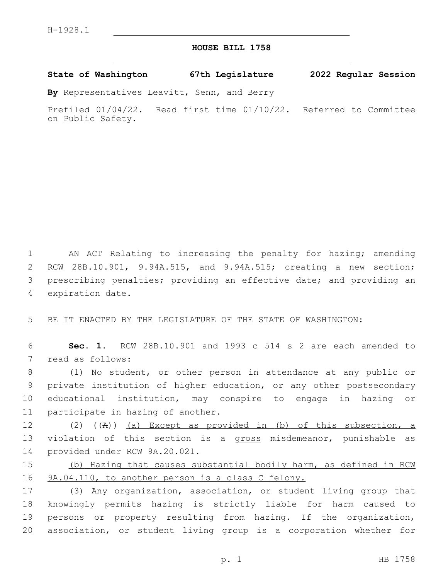## **HOUSE BILL 1758**

**State of Washington 67th Legislature 2022 Regular Session**

**By** Representatives Leavitt, Senn, and Berry

Prefiled 01/04/22. Read first time 01/10/22. Referred to Committee on Public Safety.

 AN ACT Relating to increasing the penalty for hazing; amending RCW 28B.10.901, 9.94A.515, and 9.94A.515; creating a new section; prescribing penalties; providing an effective date; and providing an 4 expiration date.

5 BE IT ENACTED BY THE LEGISLATURE OF THE STATE OF WASHINGTON:

6 **Sec. 1.** RCW 28B.10.901 and 1993 c 514 s 2 are each amended to 7 read as follows:

 (1) No student, or other person in attendance at any public or private institution of higher education, or any other postsecondary educational institution, may conspire to engage in hazing or 11 participate in hazing of another.

12 (2) ((A)) (a) Except as provided in (b) of this subsection, a 13 violation of this section is a gross misdemeanor, punishable as 14 provided under RCW 9A.20.021.

15 (b) Hazing that causes substantial bodily harm, as defined in RCW 16 9A.04.110, to another person is a class C felony.

 (3) Any organization, association, or student living group that knowingly permits hazing is strictly liable for harm caused to persons or property resulting from hazing. If the organization, association, or student living group is a corporation whether for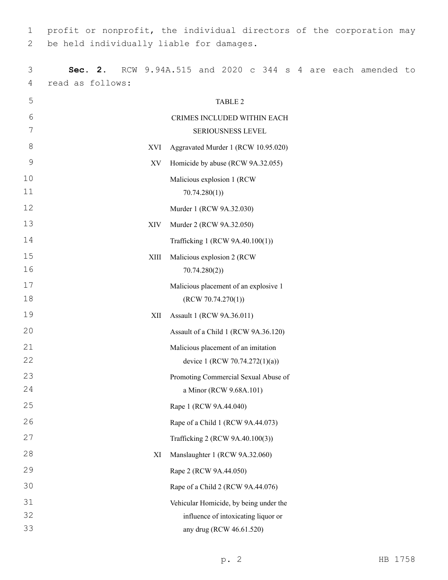profit or nonprofit, the individual directors of the corporation may 2 be held individually liable for damages.

| 3  | 2.<br>Sec.       |      |                                       |              |                                        |  |  |  | RCW 9.94A.515 and 2020 c 344 s 4 are each amended to |  |
|----|------------------|------|---------------------------------------|--------------|----------------------------------------|--|--|--|------------------------------------------------------|--|
| 4  | read as follows: |      |                                       |              |                                        |  |  |  |                                                      |  |
| 5  |                  |      |                                       |              | <b>TABLE 2</b>                         |  |  |  |                                                      |  |
| 6  |                  |      |                                       |              | CRIMES INCLUDED WITHIN EACH            |  |  |  |                                                      |  |
| 7  |                  |      |                                       |              | SERIOUSNESS LEVEL                      |  |  |  |                                                      |  |
| 8  |                  | XVI  | Aggravated Murder 1 (RCW 10.95.020)   |              |                                        |  |  |  |                                                      |  |
| 9  |                  | XV   | Homicide by abuse (RCW 9A.32.055)     |              |                                        |  |  |  |                                                      |  |
| 10 |                  |      | Malicious explosion 1 (RCW            |              |                                        |  |  |  |                                                      |  |
| 11 |                  |      |                                       | 70.74.280(1) |                                        |  |  |  |                                                      |  |
| 12 |                  |      | Murder 1 (RCW 9A.32.030)              |              |                                        |  |  |  |                                                      |  |
| 13 |                  | XIV  | Murder 2 (RCW 9A.32.050)              |              |                                        |  |  |  |                                                      |  |
| 14 |                  |      |                                       |              | Trafficking 1 (RCW 9A.40.100(1))       |  |  |  |                                                      |  |
| 15 |                  | XIII | Malicious explosion 2 (RCW            |              |                                        |  |  |  |                                                      |  |
| 16 |                  |      |                                       | 70.74.280(2) |                                        |  |  |  |                                                      |  |
| 17 |                  |      | Malicious placement of an explosive 1 |              |                                        |  |  |  |                                                      |  |
| 18 |                  |      |                                       |              | (RCW 70.74.270(1))                     |  |  |  |                                                      |  |
| 19 |                  | XII  | Assault 1 (RCW 9A.36.011)             |              |                                        |  |  |  |                                                      |  |
| 20 |                  |      |                                       |              | Assault of a Child 1 (RCW 9A.36.120)   |  |  |  |                                                      |  |
| 21 |                  |      | Malicious placement of an imitation   |              |                                        |  |  |  |                                                      |  |
| 22 |                  |      |                                       |              | device 1 (RCW 70.74.272(1)(a))         |  |  |  |                                                      |  |
| 23 |                  |      | Promoting Commercial Sexual Abuse of  |              |                                        |  |  |  |                                                      |  |
| 24 |                  |      |                                       |              | a Minor (RCW 9.68A.101)                |  |  |  |                                                      |  |
| 25 |                  |      | Rape 1 (RCW 9A.44.040)                |              |                                        |  |  |  |                                                      |  |
| 26 |                  |      | Rape of a Child 1 (RCW 9A.44.073)     |              |                                        |  |  |  |                                                      |  |
| 27 |                  |      |                                       |              | Trafficking 2 (RCW 9A.40.100(3))       |  |  |  |                                                      |  |
| 28 |                  | XI   | Manslaughter 1 (RCW 9A.32.060)        |              |                                        |  |  |  |                                                      |  |
| 29 |                  |      | Rape 2 (RCW 9A.44.050)                |              |                                        |  |  |  |                                                      |  |
| 30 |                  |      | Rape of a Child 2 (RCW 9A.44.076)     |              |                                        |  |  |  |                                                      |  |
| 31 |                  |      |                                       |              | Vehicular Homicide, by being under the |  |  |  |                                                      |  |
| 32 |                  |      |                                       |              | influence of intoxicating liquor or    |  |  |  |                                                      |  |
| 33 |                  |      |                                       |              | any drug (RCW 46.61.520)               |  |  |  |                                                      |  |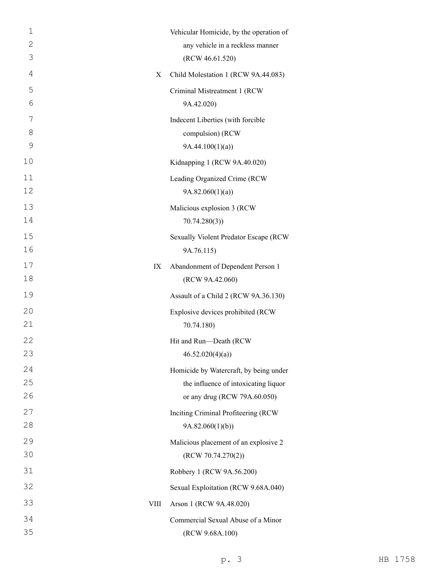| $\mathbf 1$<br>2<br>3 |             | Vehicular Homicide, by the operation of<br>any vehicle in a reckless manner<br>(RCW 46.61.520)                 |
|-----------------------|-------------|----------------------------------------------------------------------------------------------------------------|
| 4                     | X           | Child Molestation 1 (RCW 9A.44.083)                                                                            |
| 5<br>6                |             | Criminal Mistreatment 1 (RCW<br>9A.42.020)                                                                     |
| 7<br>8<br>9           |             | Indecent Liberties (with forcible<br>compulsion) (RCW<br>9A.44.100(1)(a)                                       |
| 10                    |             | Kidnapping 1 (RCW 9A.40.020)                                                                                   |
| 11<br>12<br>13        |             | Leading Organized Crime (RCW<br>9A.82.060(1)(a)<br>Malicious explosion 3 (RCW                                  |
| 14<br>15<br>16        |             | 70.74.280(3)<br>Sexually Violent Predator Escape (RCW<br>9A.76.115)                                            |
| 17<br>18              | IX          | Abandonment of Dependent Person 1<br>(RCW 9A.42.060)                                                           |
| 19                    |             | Assault of a Child 2 (RCW 9A.36.130)                                                                           |
| 20<br>21              |             | Explosive devices prohibited (RCW<br>70.74.180)                                                                |
| 22<br>23              |             | Hit and Run-Death (RCW<br>46.52.020(4)(a)                                                                      |
| 24<br>25<br>26        |             | Homicide by Watercraft, by being under<br>the influence of intoxicating liquor<br>or any drug (RCW 79A.60.050) |
| 27<br>28              |             | Inciting Criminal Profiteering (RCW                                                                            |
| 29<br>30              |             | 9A.82.060(1)(b))<br>Malicious placement of an explosive 2<br>(RCW 70.74.270(2))                                |
| 31                    |             | Robbery 1 (RCW 9A.56.200)                                                                                      |
| 32                    |             | Sexual Exploitation (RCW 9.68A.040)                                                                            |
| 33                    | <b>VIII</b> | Arson 1 (RCW 9A.48.020)                                                                                        |
| 34<br>35              |             | Commercial Sexual Abuse of a Minor<br>(RCW 9.68A.100)                                                          |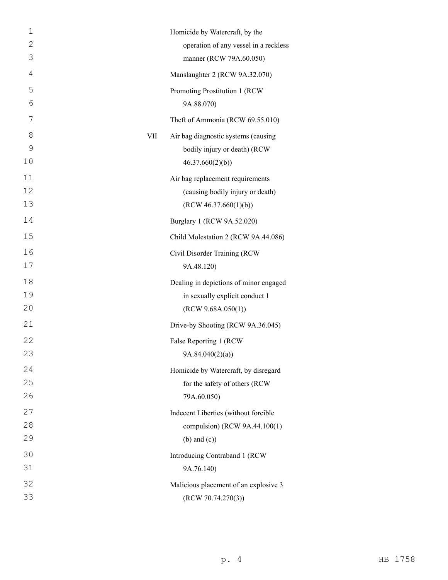| $\mathbf 1$ |     | Homicide by Watercraft, by the         |
|-------------|-----|----------------------------------------|
| 2           |     | operation of any vessel in a reckless  |
| 3           |     | manner (RCW 79A.60.050)                |
| 4           |     | Manslaughter 2 (RCW 9A.32.070)         |
| 5           |     | Promoting Prostitution 1 (RCW          |
| 6           |     | 9A.88.070)                             |
| 7           |     | Theft of Ammonia (RCW 69.55.010)       |
| 8           | VII | Air bag diagnostic systems (causing    |
| 9           |     | bodily injury or death) (RCW           |
| 10          |     | 46.37.660(2)(b)                        |
| 11          |     | Air bag replacement requirements       |
| 12          |     | (causing bodily injury or death)       |
| 13          |     | (RCW 46.37.660(1)(b))                  |
| 14          |     | Burglary 1 (RCW 9A.52.020)             |
| 15          |     | Child Molestation 2 (RCW 9A.44.086)    |
| 16          |     | Civil Disorder Training (RCW           |
| 17          |     | 9A.48.120)                             |
| 18          |     | Dealing in depictions of minor engaged |
| 19          |     | in sexually explicit conduct 1         |
| 20          |     | (RCW 9.68A.050(1))                     |
| 21          |     | Drive-by Shooting (RCW 9A.36.045)      |
| 22          |     | False Reporting 1 (RCW                 |
| 23          |     | 9A.84.040(2)(a)                        |
| 24          |     | Homicide by Watercraft, by disregard   |
| 25          |     | for the safety of others (RCW          |
| 26          |     | 79A.60.050)                            |
| 27          |     | Indecent Liberties (without forcible   |
| 28          |     | compulsion) (RCW 9A.44.100(1)          |
| 29          |     | $(b)$ and $(c)$ )                      |
| 30          |     | Introducing Contraband 1 (RCW          |
| 31          |     | 9A.76.140)                             |
| 32          |     | Malicious placement of an explosive 3  |
| 33          |     | (RCW 70.74.270(3))                     |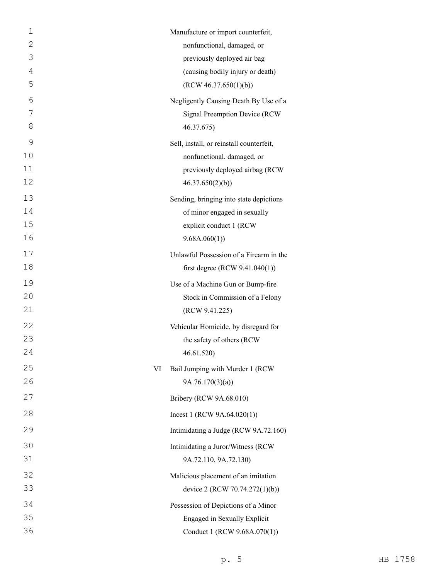| $\mathbf 1$    |    | Manufacture or import counterfeit,                                      |
|----------------|----|-------------------------------------------------------------------------|
| 2              |    | nonfunctional, damaged, or                                              |
| 3              |    | previously deployed air bag                                             |
| $\overline{4}$ |    | (causing bodily injury or death)                                        |
| 5              |    | (RCW 46.37.650(1)(b))                                                   |
| 6              |    | Negligently Causing Death By Use of a                                   |
| 7              |    | Signal Preemption Device (RCW                                           |
| 8              |    | 46.37.675)                                                              |
| $\mathcal{G}$  |    | Sell, install, or reinstall counterfeit,                                |
| 10             |    | nonfunctional, damaged, or                                              |
| 11<br>12       |    | previously deployed airbag (RCW                                         |
|                |    | 46.37.650(2)(b)                                                         |
| 13<br>14       |    | Sending, bringing into state depictions<br>of minor engaged in sexually |
| 15             |    | explicit conduct 1 (RCW                                                 |
| 16             |    | 9.68A.060(1)                                                            |
| 17             |    | Unlawful Possession of a Firearm in the                                 |
| 18             |    | first degree (RCW $9.41.040(1)$ )                                       |
| 19             |    | Use of a Machine Gun or Bump-fire                                       |
| 20             |    | Stock in Commission of a Felony                                         |
| 21             |    | (RCW 9.41.225)                                                          |
| 22             |    | Vehicular Homicide, by disregard for                                    |
| 23             |    | the safety of others (RCW                                               |
| 24             |    | 46.61.520                                                               |
| 25             | VI | Bail Jumping with Murder 1 (RCW                                         |
| 26             |    | 9A.76.170(3)(a)                                                         |
| 27             |    | Bribery (RCW 9A.68.010)                                                 |
| 28             |    | Incest 1 (RCW $9A.64.020(1)$ )                                          |
| 29             |    | Intimidating a Judge (RCW 9A.72.160)                                    |
| 30             |    | Intimidating a Juror/Witness (RCW                                       |
| 31             |    | 9A.72.110, 9A.72.130)                                                   |
| 32             |    | Malicious placement of an imitation                                     |
| 33             |    | device 2 (RCW 70.74.272(1)(b))                                          |
| 34             |    | Possession of Depictions of a Minor                                     |
| 35             |    | Engaged in Sexually Explicit                                            |
| 36             |    | Conduct 1 (RCW 9.68A.070(1))                                            |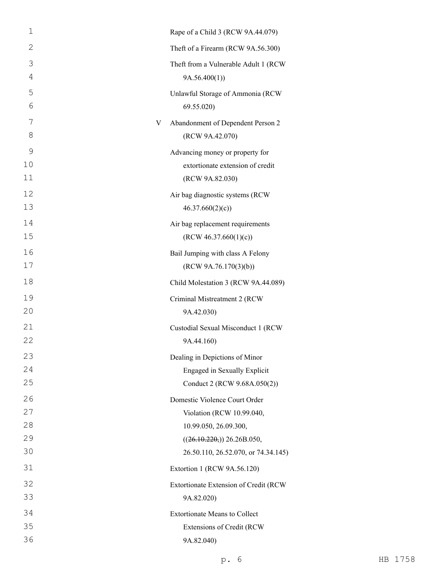| $\mathbf 1$  | Rape of a Child 3 (RCW 9A.44.079)                         |
|--------------|-----------------------------------------------------------|
| $\mathbf{2}$ | Theft of a Firearm (RCW 9A.56.300)                        |
| 3            | Theft from a Vulnerable Adult 1 (RCW                      |
| 4            | 9A.56.400(1)                                              |
| 5<br>6       | Unlawful Storage of Ammonia (RCW<br>69.55.020)            |
| 7<br>8       | Abandonment of Dependent Person 2<br>V<br>(RCW 9A.42.070) |
| 9            | Advancing money or property for                           |
| 10<br>11     | extortionate extension of credit<br>(RCW 9A.82.030)       |
| 12<br>13     | Air bag diagnostic systems (RCW<br>46.37.660(2)(c)        |
| 14<br>15     | Air bag replacement requirements<br>(RCW 46.37.660(1)(c)) |
| 16           | Bail Jumping with class A Felony                          |
| 17           | (RCW 9A.76.170(3)(b))                                     |
| 18           | Child Molestation 3 (RCW 9A.44.089)                       |
| 19<br>20     | Criminal Mistreatment 2 (RCW<br>9A.42.030)                |
| 21           | Custodial Sexual Misconduct 1 (RCW                        |
| 22           | 9A.44.160)                                                |
| 23           | Dealing in Depictions of Minor                            |
| 24           | Engaged in Sexually Explicit                              |
| 25           | Conduct 2 (RCW 9.68A.050(2))                              |
| 26           | Domestic Violence Court Order                             |
| 27           | Violation (RCW 10.99.040,                                 |
| 28           | 10.99.050, 26.09.300,                                     |
| 29           | ((26.10.220)) 26.26B.050,                                 |
| 30           | 26.50.110, 26.52.070, or 74.34.145)                       |
| 31           | Extortion 1 (RCW 9A.56.120)                               |
| 32           | Extortionate Extension of Credit (RCW                     |
| 33           | 9A.82.020)                                                |
| 34           | <b>Extortionate Means to Collect</b>                      |
| 35           | Extensions of Credit (RCW                                 |
| 36           | 9A.82.040)                                                |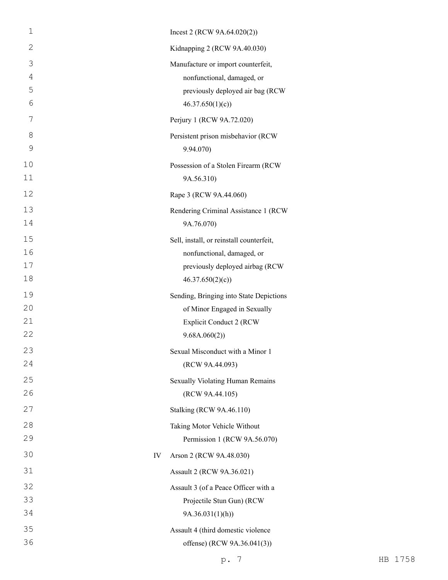| $\mathbf 1$    |    | Incest 2 (RCW 9A.64.020(2))                         |
|----------------|----|-----------------------------------------------------|
| $\mathbf{2}$   |    | Kidnapping 2 (RCW 9A.40.030)                        |
| 3              |    | Manufacture or import counterfeit,                  |
| $\overline{4}$ |    | nonfunctional, damaged, or                          |
| 5              |    | previously deployed air bag (RCW                    |
| 6              |    | 46.37.650(1)(c)                                     |
| 7              |    | Perjury 1 (RCW 9A.72.020)                           |
| 8              |    | Persistent prison misbehavior (RCW                  |
| 9              |    | 9.94.070)                                           |
| 10             |    | Possession of a Stolen Firearm (RCW                 |
| 11             |    | 9A.56.310)                                          |
| 12             |    | Rape 3 (RCW 9A.44.060)                              |
| 13             |    | Rendering Criminal Assistance 1 (RCW                |
| 14             |    | 9A.76.070)                                          |
| 15             |    | Sell, install, or reinstall counterfeit,            |
| 16             |    | nonfunctional, damaged, or                          |
| 17             |    | previously deployed airbag (RCW                     |
| 18             |    | 46.37.650(2)(c)                                     |
| 19             |    | Sending, Bringing into State Depictions             |
| 20             |    | of Minor Engaged in Sexually                        |
| 21<br>22       |    | <b>Explicit Conduct 2 (RCW</b>                      |
|                |    | 9.68A.060(2)                                        |
| 23<br>24       |    | Sexual Misconduct with a Minor 1<br>(RCW 9A.44.093) |
| 25             |    |                                                     |
| 26             |    | Sexually Violating Human Remains<br>(RCW 9A.44.105) |
|                |    |                                                     |
| 27             |    | <b>Stalking (RCW 9A.46.110)</b>                     |
| 28             |    | Taking Motor Vehicle Without                        |
| 29             |    | Permission 1 (RCW 9A.56.070)                        |
| 30             | IV | Arson 2 (RCW 9A.48.030)                             |
| 31             |    | Assault 2 (RCW 9A.36.021)                           |
| 32             |    | Assault 3 (of a Peace Officer with a                |
| 33             |    | Projectile Stun Gun) (RCW                           |
| 34             |    | 9A.36.031(1)(h)                                     |
| 35             |    | Assault 4 (third domestic violence                  |
| 36             |    | offense) (RCW 9A.36.041(3))                         |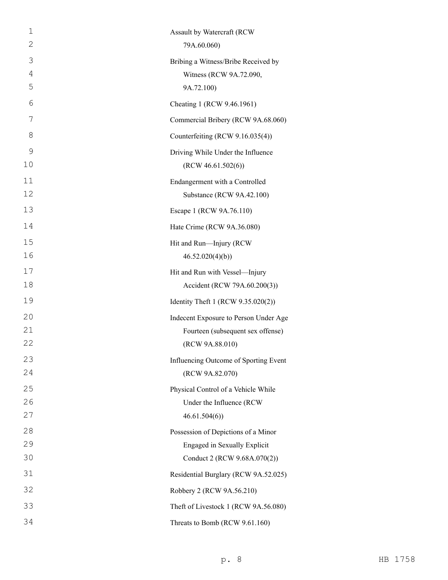| 1  | Assault by Watercraft (RCW            |
|----|---------------------------------------|
| 2  | 79A.60.060)                           |
| 3  | Bribing a Witness/Bribe Received by   |
| 4  | Witness (RCW 9A.72.090,               |
| 5  | 9A.72.100)                            |
| 6  | Cheating 1 (RCW 9.46.1961)            |
| 7  | Commercial Bribery (RCW 9A.68.060)    |
| 8  | Counterfeiting (RCW 9.16.035(4))      |
| 9  | Driving While Under the Influence     |
| 10 | (RCW 46.61.502(6))                    |
| 11 | Endangerment with a Controlled        |
| 12 | Substance (RCW 9A.42.100)             |
| 13 | Escape 1 (RCW 9A.76.110)              |
| 14 | Hate Crime (RCW 9A.36.080)            |
| 15 | Hit and Run-Injury (RCW               |
| 16 | 46.52.020(4)(b)                       |
| 17 | Hit and Run with Vessel-Injury        |
| 18 | Accident (RCW 79A.60.200(3))          |
| 19 | Identity Theft 1 (RCW 9.35.020(2))    |
| 20 | Indecent Exposure to Person Under Age |
| 21 | Fourteen (subsequent sex offense)     |
| 22 | (RCW 9A.88.010)                       |
| 23 | Influencing Outcome of Sporting Event |
| 24 | (RCW 9A.82.070)                       |
| 25 | Physical Control of a Vehicle While   |
| 26 | Under the Influence (RCW              |
| 27 | 46.61.504(6)                          |
| 28 | Possession of Depictions of a Minor   |
| 29 | <b>Engaged in Sexually Explicit</b>   |
| 30 | Conduct 2 (RCW 9.68A.070(2))          |
| 31 | Residential Burglary (RCW 9A.52.025)  |
| 32 | Robbery 2 (RCW 9A.56.210)             |
| 33 | Theft of Livestock 1 (RCW 9A.56.080)  |
| 34 | Threats to Bomb (RCW 9.61.160)        |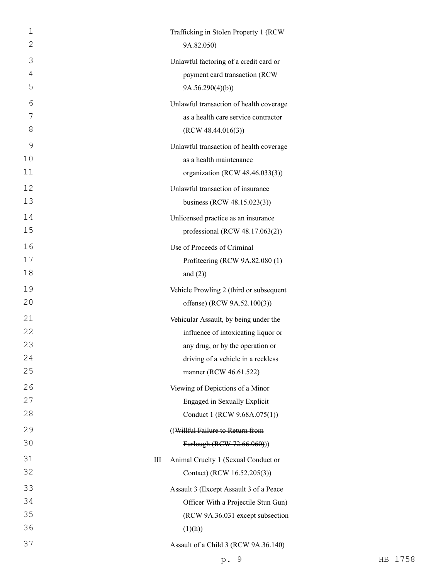| $\mathbf 1$ |   | Trafficking in Stolen Property 1 (RCW   |
|-------------|---|-----------------------------------------|
| 2           |   | 9A.82.050)                              |
| 3           |   | Unlawful factoring of a credit card or  |
| 4           |   | payment card transaction (RCW           |
| 5           |   | 9A.56.290(4)(b)                         |
| 6           |   | Unlawful transaction of health coverage |
| 7           |   | as a health care service contractor     |
| 8           |   | (RCW 48.44.016(3))                      |
| 9           |   | Unlawful transaction of health coverage |
| 10          |   | as a health maintenance                 |
| 11          |   | organization (RCW 48.46.033(3))         |
| 12          |   | Unlawful transaction of insurance       |
| 13          |   | business (RCW 48.15.023(3))             |
| 14          |   | Unlicensed practice as an insurance     |
| 15          |   | professional (RCW 48.17.063(2))         |
| 16          |   | Use of Proceeds of Criminal             |
| 17          |   | Profiteering (RCW 9A.82.080 (1)         |
| 18          |   | and $(2)$ )                             |
| 19          |   | Vehicle Prowling 2 (third or subsequent |
| 20          |   | offense) (RCW 9A.52.100(3))             |
| 21          |   | Vehicular Assault, by being under the   |
| 22          |   | influence of intoxicating liquor or     |
| 23          |   | any drug, or by the operation or        |
| 24          |   | driving of a vehicle in a reckless      |
| 25          |   | manner (RCW 46.61.522)                  |
| 26          |   | Viewing of Depictions of a Minor        |
| 27          |   | Engaged in Sexually Explicit            |
| 28          |   | Conduct 1 (RCW 9.68A.075(1))            |
| 29          |   | ((Willful Failure to Return from        |
| 30          |   | Furlough (RCW-72.66.060)))              |
| 31          | Ш | Animal Cruelty 1 (Sexual Conduct or     |
| 32          |   | Contact) (RCW 16.52.205(3))             |
| 33          |   | Assault 3 (Except Assault 3 of a Peace  |
| 34          |   | Officer With a Projectile Stun Gun)     |
| 35          |   | (RCW 9A.36.031 except subsection        |
| 36          |   | (1)(h))                                 |
| 37          |   | Assault of a Child 3 (RCW 9A.36.140)    |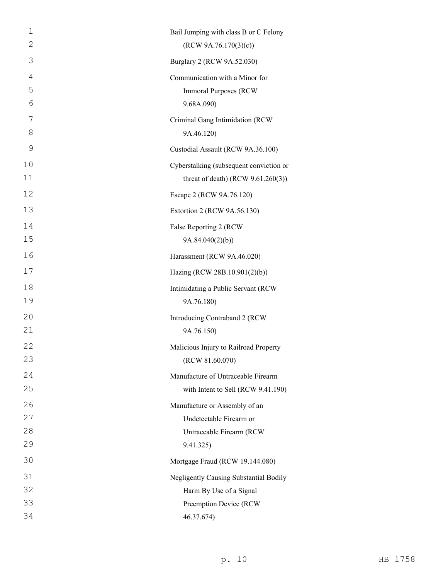| $\mathbf 1$    | Bail Jumping with class B or C Felony   |
|----------------|-----------------------------------------|
| $\mathbf{2}$   | (RCW 9A.76.170(3)(c))                   |
| 3              | Burglary 2 (RCW 9A.52.030)              |
| $\overline{4}$ | Communication with a Minor for          |
| 5              | <b>Immoral Purposes (RCW</b>            |
| 6              | 9.68A.090)                              |
| 7              | Criminal Gang Intimidation (RCW         |
| 8              | 9A.46.120)                              |
| 9              | Custodial Assault (RCW 9A.36.100)       |
| 10             | Cyberstalking (subsequent conviction or |
| 11             | threat of death) (RCW $9.61.260(3)$ )   |
| 12             | Escape 2 (RCW 9A.76.120)                |
| 13             | Extortion 2 (RCW 9A.56.130)             |
| 14             | False Reporting 2 (RCW                  |
| 15             | 9A.84.040(2)(b)                         |
| 16             | Harassment (RCW 9A.46.020)              |
| 17             | Hazing (RCW 28B.10.901(2)(b))           |
| 18             | Intimidating a Public Servant (RCW      |
| 19             | 9A.76.180)                              |
| 20             | Introducing Contraband 2 (RCW           |
| 21             | 9A.76.150)                              |
| 22             | Malicious Injury to Railroad Property   |
| 23             | (RCW 81.60.070)                         |
| 24             | Manufacture of Untraceable Firearm      |
| 25             | with Intent to Sell (RCW 9.41.190)      |
| 26             | Manufacture or Assembly of an           |
| 27             | Undetectable Firearm or                 |
| 28             | Untraceable Firearm (RCW                |
| 29             | 9.41.325)                               |
| 30             | Mortgage Fraud (RCW 19.144.080)         |
| 31             | Negligently Causing Substantial Bodily  |
| 32             | Harm By Use of a Signal                 |
| 33             | Preemption Device (RCW                  |
| 34             | 46.37.674)                              |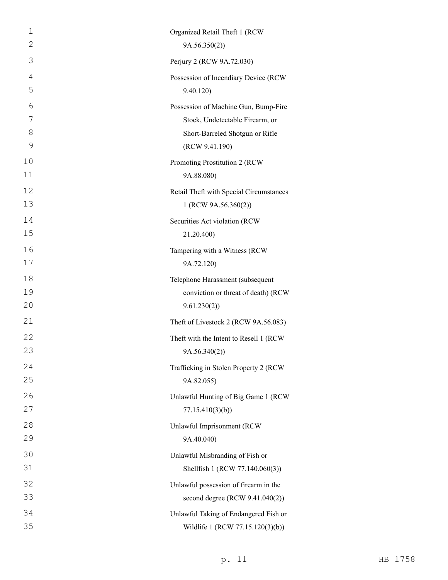| 1  | Organized Retail Theft 1 (RCW           |
|----|-----------------------------------------|
| 2  | 9A.56.350(2)                            |
| 3  | Perjury 2 (RCW 9A.72.030)               |
| 4  | Possession of Incendiary Device (RCW    |
| 5  | 9.40.120)                               |
| 6  | Possession of Machine Gun, Bump-Fire    |
| 7  | Stock, Undetectable Firearm, or         |
| 8  | Short-Barreled Shotgun or Rifle         |
| 9  | (RCW 9.41.190)                          |
| 10 | Promoting Prostitution 2 (RCW           |
| 11 | 9A.88.080)                              |
| 12 | Retail Theft with Special Circumstances |
| 13 | 1 (RCW 9A.56.360(2))                    |
| 14 | Securities Act violation (RCW           |
| 15 | 21.20.400)                              |
| 16 | Tampering with a Witness (RCW           |
| 17 | 9A.72.120)                              |
| 18 | Telephone Harassment (subsequent        |
| 19 | conviction or threat of death) (RCW     |
| 20 | 9.61.230(2)                             |
| 21 | Theft of Livestock 2 (RCW 9A.56.083)    |
| 22 | Theft with the Intent to Resell 1 (RCW  |
| 23 | 9A.56.340(2))                           |
| 24 | Trafficking in Stolen Property 2 (RCW   |
| 25 | 9A.82.055)                              |
| 26 | Unlawful Hunting of Big Game 1 (RCW     |
| 27 | 77.15.410(3)(b)                         |
| 28 | Unlawful Imprisonment (RCW              |
| 29 | 9A.40.040)                              |
| 30 | Unlawful Misbranding of Fish or         |
| 31 | Shellfish 1 (RCW 77.140.060(3))         |
| 32 | Unlawful possession of firearm in the   |
| 33 | second degree (RCW 9.41.040(2))         |
| 34 | Unlawful Taking of Endangered Fish or   |
| 35 | Wildlife 1 (RCW 77.15.120(3)(b))        |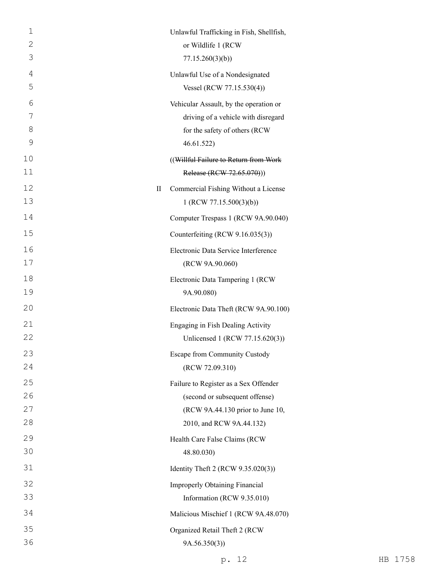| $\mathbf 1$         |   | Unlawful Trafficking in Fish, Shellfish,                             |
|---------------------|---|----------------------------------------------------------------------|
| $\mathbf{2}$<br>3   |   | or Wildlife 1 (RCW                                                   |
|                     |   | 77.15.260(3)(b)                                                      |
| $\overline{4}$<br>5 |   | Unlawful Use of a Nondesignated                                      |
|                     |   | Vessel (RCW 77.15.530(4))                                            |
| 6<br>7              |   | Vehicular Assault, by the operation or                               |
| 8                   |   | driving of a vehicle with disregard<br>for the safety of others (RCW |
| 9                   |   | 46.61.522)                                                           |
| 10                  |   | ((Willful Failure to Return from Work                                |
| 11                  |   | Release (RCW 72.65.070)))                                            |
| 12                  | П | Commercial Fishing Without a License                                 |
| 13                  |   | 1 (RCW 77.15.500(3)(b))                                              |
| 14                  |   | Computer Trespass 1 (RCW 9A.90.040)                                  |
| 15                  |   | Counterfeiting (RCW 9.16.035(3))                                     |
| 16                  |   | Electronic Data Service Interference                                 |
| 17                  |   | (RCW 9A.90.060)                                                      |
| 18                  |   | Electronic Data Tampering 1 (RCW                                     |
| 19                  |   | 9A.90.080)                                                           |
| 20                  |   | Electronic Data Theft (RCW 9A.90.100)                                |
| 21                  |   | Engaging in Fish Dealing Activity                                    |
| 22                  |   | Unlicensed 1 (RCW 77.15.620(3))                                      |
| 23                  |   | Escape from Community Custody                                        |
| 24                  |   | (RCW 72.09.310)                                                      |
| 25                  |   | Failure to Register as a Sex Offender                                |
| 26                  |   | (second or subsequent offense)                                       |
| 27                  |   | (RCW 9A.44.130 prior to June 10,                                     |
| 28                  |   | 2010, and RCW 9A.44.132)                                             |
| 29                  |   | Health Care False Claims (RCW                                        |
| 30                  |   | 48.80.030)                                                           |
| 31                  |   | Identity Theft 2 (RCW 9.35.020(3))                                   |
| 32                  |   | <b>Improperly Obtaining Financial</b>                                |
| 33                  |   | Information (RCW 9.35.010)                                           |
| 34                  |   | Malicious Mischief 1 (RCW 9A.48.070)                                 |
| 35                  |   | Organized Retail Theft 2 (RCW                                        |
| 36                  |   | 9A.56.350(3)                                                         |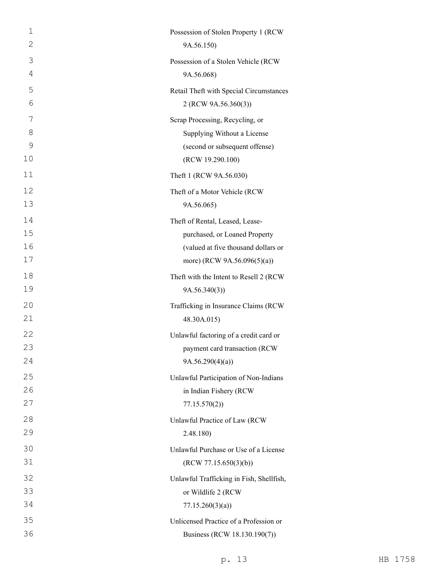| 1  | Possession of Stolen Property 1 (RCW     |
|----|------------------------------------------|
| 2  | 9A.56.150)                               |
| 3  | Possession of a Stolen Vehicle (RCW      |
| 4  | 9A.56.068)                               |
| 5  | Retail Theft with Special Circumstances  |
| 6  | 2 (RCW 9A.56.360(3))                     |
| 7  | Scrap Processing, Recycling, or          |
| 8  | Supplying Without a License              |
| 9  | (second or subsequent offense)           |
| 10 | (RCW 19.290.100)                         |
| 11 | Theft 1 (RCW 9A.56.030)                  |
| 12 | Theft of a Motor Vehicle (RCW            |
| 13 | 9A.56.065)                               |
| 14 | Theft of Rental, Leased, Lease-          |
| 15 | purchased, or Loaned Property            |
| 16 | (valued at five thousand dollars or      |
| 17 | more) (RCW 9A.56.096(5)(a))              |
| 18 | Theft with the Intent to Resell 2 (RCW   |
| 19 | 9A.56.340(3)                             |
| 20 | Trafficking in Insurance Claims (RCW     |
| 21 | 48.30A.015)                              |
| 22 | Unlawful factoring of a credit card or   |
| 23 | payment card transaction (RCW            |
| 24 | 9A.56.290(4)(a)                          |
| 25 | Unlawful Participation of Non-Indians    |
| 26 | in Indian Fishery (RCW                   |
| 27 | 77.15.570(2)                             |
| 28 | Unlawful Practice of Law (RCW            |
| 29 | 2.48.180)                                |
| 30 | Unlawful Purchase or Use of a License    |
| 31 | (RCW 77.15.650(3)(b))                    |
| 32 | Unlawful Trafficking in Fish, Shellfish, |
| 33 | or Wildlife 2 (RCW                       |
| 34 | 77.15.260(3)(a)                          |
| 35 | Unlicensed Practice of a Profession or   |
| 36 | Business (RCW 18.130.190(7))             |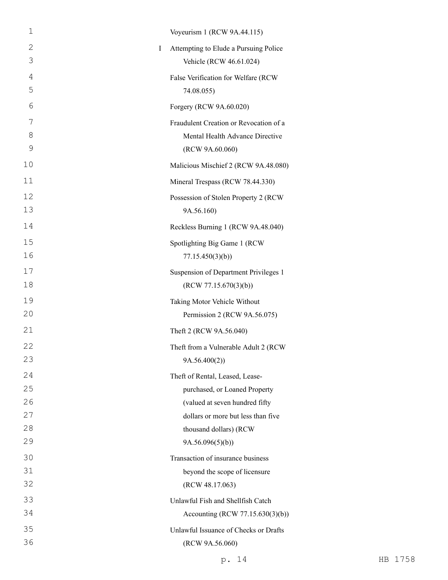| $\mathbf 1$                 | Voyeurism 1 (RCW 9A.44.115)            |
|-----------------------------|----------------------------------------|
| $\mathbf{2}$<br>$\mathbf I$ | Attempting to Elude a Pursuing Police  |
| 3                           | Vehicle (RCW 46.61.024)                |
| 4                           | False Verification for Welfare (RCW    |
| 5                           | 74.08.055)                             |
| 6                           | Forgery (RCW 9A.60.020)                |
| 7                           | Fraudulent Creation or Revocation of a |
| 8                           | Mental Health Advance Directive        |
| 9                           | (RCW 9A.60.060)                        |
| 10                          | Malicious Mischief 2 (RCW 9A.48.080)   |
| 11                          | Mineral Trespass (RCW 78.44.330)       |
| 12                          | Possession of Stolen Property 2 (RCW   |
| 13                          | 9A.56.160)                             |
| 14                          | Reckless Burning 1 (RCW 9A.48.040)     |
| 15                          | Spotlighting Big Game 1 (RCW           |
| 16                          | 77.15.450(3)(b)                        |
| 17                          | Suspension of Department Privileges 1  |
| 18                          | (RCW 77.15.670(3)(b))                  |
| 19                          | Taking Motor Vehicle Without           |
| 20                          | Permission 2 (RCW 9A.56.075)           |
| 21                          | Theft 2 (RCW 9A.56.040)                |
| 22                          | Theft from a Vulnerable Adult 2 (RCW   |
| 23                          | 9A.56.400(2))                          |
| 24                          | Theft of Rental, Leased, Lease-        |
| 25                          | purchased, or Loaned Property          |
| 26                          | (valued at seven hundred fifty         |
| 27                          | dollars or more but less than five     |
| 28                          | thousand dollars) (RCW                 |
| 29                          | 9A.56.096(5)(b)                        |
| 30                          | Transaction of insurance business      |
| 31                          | beyond the scope of licensure          |
| 32                          | (RCW 48.17.063)                        |
| 33                          | Unlawful Fish and Shellfish Catch      |
| 34                          | Accounting (RCW 77.15.630(3)(b))       |
| 35                          | Unlawful Issuance of Checks or Drafts  |
| 36                          | (RCW 9A.56.060)                        |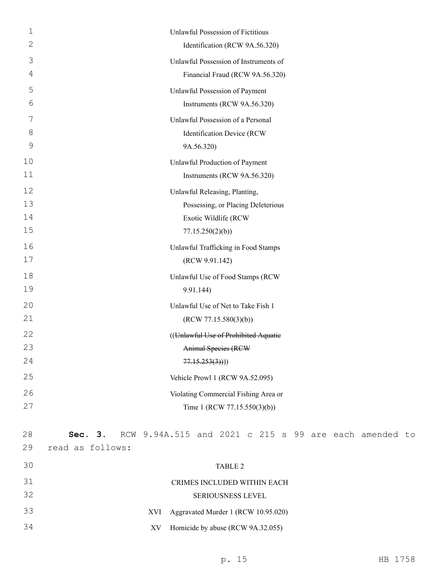| 1  | Unlawful Possession of Fictitious                                |
|----|------------------------------------------------------------------|
| 2  | Identification (RCW 9A.56.320)                                   |
| 3  | Unlawful Possession of Instruments of                            |
| 4  | Financial Fraud (RCW 9A.56.320)                                  |
| 5  | Unlawful Possession of Payment                                   |
| 6  | Instruments (RCW 9A.56.320)                                      |
| 7  | Unlawful Possession of a Personal                                |
| 8  | Identification Device (RCW                                       |
| 9  | 9A.56.320)                                                       |
| 10 | Unlawful Production of Payment                                   |
| 11 | Instruments (RCW 9A.56.320)                                      |
| 12 | Unlawful Releasing, Planting,                                    |
| 13 | Possessing, or Placing Deleterious                               |
| 14 | Exotic Wildlife (RCW                                             |
| 15 | 77.15.250(2)(b)                                                  |
| 16 | Unlawful Trafficking in Food Stamps                              |
| 17 | (RCW 9.91.142)                                                   |
| 18 | Unlawful Use of Food Stamps (RCW                                 |
| 19 | 9.91.144)                                                        |
| 20 | Unlawful Use of Net to Take Fish 1                               |
| 21 | (RCW 77.15.580(3)(b))                                            |
| 22 | ((Unlawful Use of Prohibited Aquatie                             |
| 23 | <b>Animal Species (RCW</b>                                       |
| 24 | 77.15.253(3))                                                    |
| 25 | Vehicle Prowl 1 (RCW 9A.52.095)                                  |
| 26 | Violating Commercial Fishing Area or                             |
| 27 | Time 1 (RCW 77.15.550(3)(b))                                     |
|    |                                                                  |
| 28 | RCW 9.94A.515 and 2021 c 215 s 99 are each amended to<br>Sec. 3. |
| 29 | read as follows:                                                 |
| 30 | TABLE 2                                                          |
| 31 | CRIMES INCLUDED WITHIN EACH                                      |
| 32 | SERIOUSNESS LEVEL                                                |
| 33 | Aggravated Murder 1 (RCW 10.95.020)<br>XVI                       |
| 34 | Homicide by abuse (RCW 9A.32.055)<br>XV                          |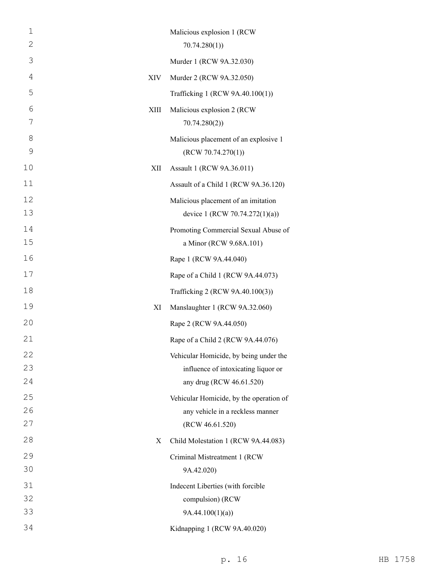| $\mathbf 1$<br>2 |      | Malicious explosion 1 (RCW<br>70.74.280(1) |
|------------------|------|--------------------------------------------|
| 3                |      | Murder 1 (RCW 9A.32.030)                   |
| 4                | XIV  | Murder 2 (RCW 9A.32.050)                   |
| 5                |      |                                            |
| 6                |      | Trafficking 1 (RCW 9A.40.100(1))           |
| 7                | XIII | Malicious explosion 2 (RCW<br>70.74.280(2) |
| 8                |      | Malicious placement of an explosive 1      |
| 9                |      | (RCW 70.74.270(1))                         |
| 10               | XII  | Assault 1 (RCW 9A.36.011)                  |
| 11               |      | Assault of a Child 1 (RCW 9A.36.120)       |
| 12               |      | Malicious placement of an imitation        |
| 13               |      | device 1 (RCW 70.74.272(1)(a))             |
| 14               |      | Promoting Commercial Sexual Abuse of       |
| 15               |      | a Minor (RCW 9.68A.101)                    |
| 16               |      | Rape 1 (RCW 9A.44.040)                     |
| 17               |      | Rape of a Child 1 (RCW 9A.44.073)          |
| 18               |      | Trafficking 2 (RCW 9A.40.100(3))           |
| 19               | XI   | Manslaughter 1 (RCW 9A.32.060)             |
| 20               |      | Rape 2 (RCW 9A.44.050)                     |
| 21               |      | Rape of a Child 2 (RCW 9A.44.076)          |
| 22               |      | Vehicular Homicide, by being under the     |
| 23               |      | influence of intoxicating liquor or        |
| 24               |      | any drug (RCW 46.61.520)                   |
| 25               |      | Vehicular Homicide, by the operation of    |
| 26               |      | any vehicle in a reckless manner           |
| 27               |      | (RCW 46.61.520)                            |
| 28               | X    | Child Molestation 1 (RCW 9A.44.083)        |
| 29               |      | Criminal Mistreatment 1 (RCW               |
| 30               |      | 9A.42.020)                                 |
| 31               |      | Indecent Liberties (with forcible          |
| 32               |      | compulsion) (RCW                           |
| 33               |      | 9A.44.100(1)(a)                            |
| 34               |      | Kidnapping 1 (RCW 9A.40.020)               |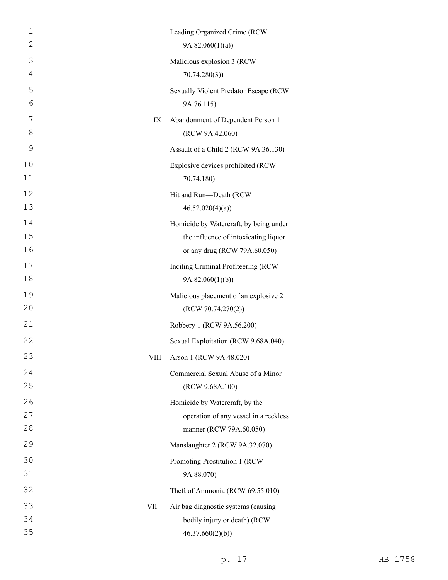| $\mathbf 1$    |      | Leading Organized Crime (RCW           |
|----------------|------|----------------------------------------|
| 2              |      | 9A.82.060(1)(a)                        |
| 3              |      | Malicious explosion 3 (RCW             |
| $\overline{4}$ |      | 70.74.280(3)                           |
| 5              |      | Sexually Violent Predator Escape (RCW  |
| 6              |      | 9A.76.115)                             |
| 7              | IX   | Abandonment of Dependent Person 1      |
| 8              |      | (RCW 9A.42.060)                        |
| 9              |      | Assault of a Child 2 (RCW 9A.36.130)   |
| 10             |      | Explosive devices prohibited (RCW      |
| 11             |      | 70.74.180)                             |
| 12             |      | Hit and Run-Death (RCW                 |
| 13             |      | 46.52.020(4)(a)                        |
| 14             |      | Homicide by Watercraft, by being under |
| 15             |      | the influence of intoxicating liquor   |
| 16             |      | or any drug (RCW 79A.60.050)           |
| 17             |      | Inciting Criminal Profiteering (RCW    |
| 18             |      | 9A.82.060(1)(b)                        |
| 19             |      | Malicious placement of an explosive 2  |
| 20             |      | (RCW 70.74.270(2))                     |
| 21             |      | Robbery 1 (RCW 9A.56.200)              |
| 22             |      | Sexual Exploitation (RCW 9.68A.040)    |
| 23             | VIII | Arson 1 (RCW 9A.48.020)                |
| 24             |      | Commercial Sexual Abuse of a Minor     |
| 25             |      | (RCW 9.68A.100)                        |
| 26             |      | Homicide by Watercraft, by the         |
| 27             |      | operation of any vessel in a reckless  |
| 28             |      | manner (RCW 79A.60.050)                |
| 29             |      | Manslaughter 2 (RCW 9A.32.070)         |
| 30             |      | Promoting Prostitution 1 (RCW          |
| 31             |      | 9A.88.070)                             |
| 32             |      | Theft of Ammonia (RCW 69.55.010)       |
| 33             | VII  | Air bag diagnostic systems (causing    |
| 34             |      | bodily injury or death) (RCW           |
| 35             |      | 46.37.660(2)(b)                        |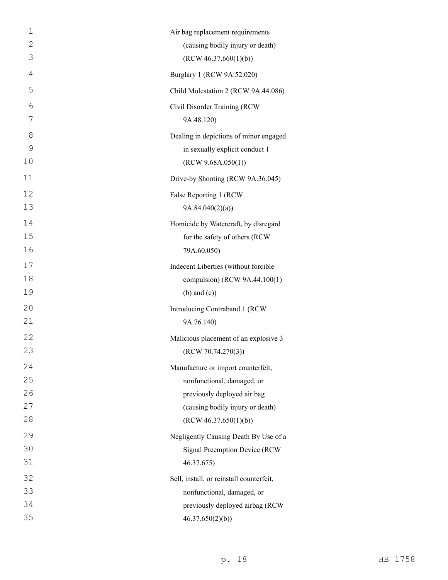| $\mathbf 1$    | Air bag replacement requirements         |
|----------------|------------------------------------------|
| $\mathbf{2}$   | (causing bodily injury or death)         |
| 3              | (RCW 46.37.660(1)(b))                    |
| $\overline{4}$ | Burglary 1 (RCW 9A.52.020)               |
| 5              | Child Molestation 2 (RCW 9A.44.086)      |
| 6              | Civil Disorder Training (RCW             |
| 7              | 9A.48.120)                               |
| 8              | Dealing in depictions of minor engaged   |
| $\mathcal{G}$  | in sexually explicit conduct 1           |
| 10             | (RCW 9.68A.050(1))                       |
| 11             | Drive-by Shooting (RCW 9A.36.045)        |
| 12             | False Reporting 1 (RCW                   |
| 13             | 9A.84.040(2)(a)                          |
| 14             | Homicide by Watercraft, by disregard     |
| 15             | for the safety of others (RCW            |
| 16             | 79A.60.050)                              |
| 17             | Indecent Liberties (without forcible     |
| 18             | compulsion) (RCW 9A.44.100(1)            |
| 19             | $(b)$ and $(c)$ )                        |
| 20             | Introducing Contraband 1 (RCW            |
| 21             | 9A.76.140)                               |
| 22             | Malicious placement of an explosive 3    |
| 23             | (RCW 70.74.270(3))                       |
| 24             | Manufacture or import counterfeit,       |
| 25             | nonfunctional, damaged, or               |
| 26             | previously deployed air bag              |
| 27             | (causing bodily injury or death)         |
| 28             | (RCW 46.37.650(1)(b))                    |
| 29             | Negligently Causing Death By Use of a    |
| 30             | <b>Signal Preemption Device (RCW</b>     |
| 31             | 46.37.675)                               |
| 32             | Sell, install, or reinstall counterfeit, |
| 33             | nonfunctional, damaged, or               |
| 34             | previously deployed airbag (RCW          |
| 35             | 46.37.650(2)(b)                          |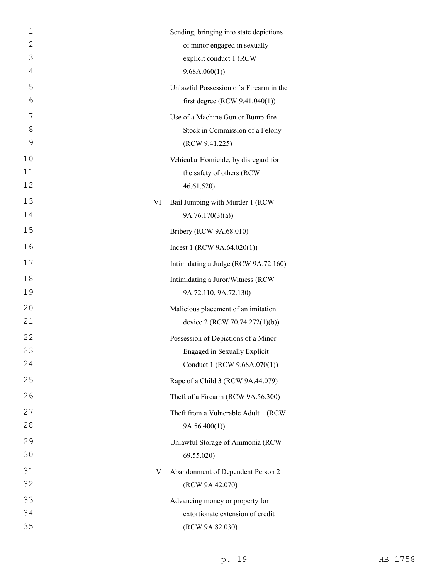| 1  |    | Sending, bringing into state depictions |
|----|----|-----------------------------------------|
| 2  |    | of minor engaged in sexually            |
| 3  |    | explicit conduct 1 (RCW                 |
| 4  |    | 9.68A.060(1)                            |
| 5  |    | Unlawful Possession of a Firearm in the |
| 6  |    | first degree (RCW $9.41.040(1)$ )       |
| 7  |    | Use of a Machine Gun or Bump-fire       |
| 8  |    | Stock in Commission of a Felony         |
| 9  |    | (RCW 9.41.225)                          |
| 10 |    | Vehicular Homicide, by disregard for    |
| 11 |    | the safety of others (RCW               |
| 12 |    | 46.61.520)                              |
| 13 | VI | Bail Jumping with Murder 1 (RCW         |
| 14 |    | 9A.76.170(3)(a)                         |
| 15 |    | Bribery (RCW 9A.68.010)                 |
| 16 |    | Incest 1 (RCW $9A.64.020(1)$ )          |
| 17 |    | Intimidating a Judge (RCW 9A.72.160)    |
| 18 |    | Intimidating a Juror/Witness (RCW       |
| 19 |    | 9A.72.110, 9A.72.130)                   |
| 20 |    | Malicious placement of an imitation     |
| 21 |    | device 2 (RCW 70.74.272(1)(b))          |
| 22 |    | Possession of Depictions of a Minor     |
| 23 |    | Engaged in Sexually Explicit            |
| 24 |    | Conduct 1 (RCW 9.68A.070(1))            |
| 25 |    | Rape of a Child 3 (RCW 9A.44.079)       |
| 26 |    | Theft of a Firearm (RCW 9A.56.300)      |
| 27 |    | Theft from a Vulnerable Adult 1 (RCW    |
| 28 |    | 9A.56.400(1)                            |
| 29 |    | Unlawful Storage of Ammonia (RCW        |
| 30 |    | 69.55.020                               |
| 31 | V  | Abandonment of Dependent Person 2       |
| 32 |    | (RCW 9A.42.070)                         |
| 33 |    | Advancing money or property for         |
| 34 |    | extortionate extension of credit        |
| 35 |    | (RCW 9A.82.030)                         |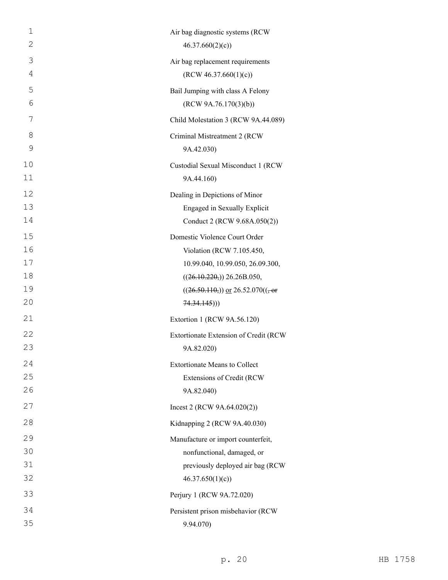| $\mathbf 1$ | Air bag diagnostic systems (RCW                 |
|-------------|-------------------------------------------------|
| 2           | 46.37.660(2)(c)                                 |
| 3           | Air bag replacement requirements                |
| 4           | (RCW 46.37.660(1)(c))                           |
| 5           | Bail Jumping with class A Felony                |
| 6           | (RCW 9A.76.170(3)(b))                           |
| 7           | Child Molestation 3 (RCW 9A.44.089)             |
| 8           | Criminal Mistreatment 2 (RCW                    |
| 9           | 9A.42.030)                                      |
| 10          | Custodial Sexual Misconduct 1 (RCW              |
| 11          | 9A.44.160)                                      |
| 12          | Dealing in Depictions of Minor                  |
| 13          | Engaged in Sexually Explicit                    |
| 14          | Conduct 2 (RCW 9.68A.050(2))                    |
| 15          | Domestic Violence Court Order                   |
| 16          | Violation (RCW 7.105.450,                       |
| 17          | 10.99.040, 10.99.050, 26.09.300,                |
| 18          | $((26.10.220))$ , 26.26B.050,                   |
| 19          | $((26.50.110))$ or $26.52.070((-$ <del>or</del> |
| 20          | 74.34.145))                                     |
| 21          | Extortion 1 (RCW 9A.56.120)                     |
| 22          | Extortionate Extension of Credit (RCW           |
| 23          | 9A.82.020)                                      |
| 24          | <b>Extortionate Means to Collect</b>            |
| 25          | Extensions of Credit (RCW                       |
| 26          | 9A.82.040)                                      |
| 27          | Incest 2 (RCW $9A.64.020(2)$ )                  |
| 28          | Kidnapping 2 (RCW 9A.40.030)                    |
| 29          | Manufacture or import counterfeit,              |
| 30          | nonfunctional, damaged, or                      |
| 31          | previously deployed air bag (RCW                |
| 32          | 46.37.650(1)(c)                                 |
| 33          | Perjury 1 (RCW 9A.72.020)                       |
| 34          | Persistent prison misbehavior (RCW              |
| 35          | 9.94.070)                                       |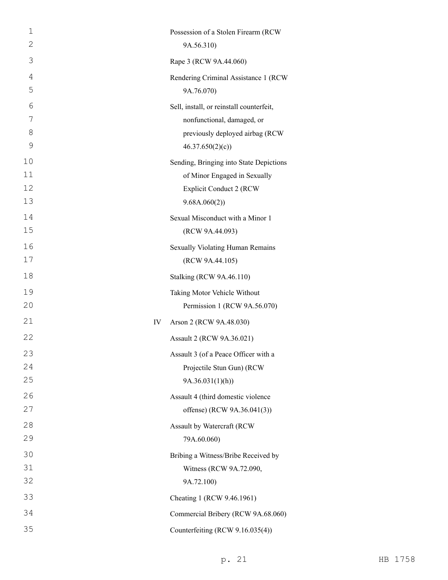| $\mathbf 1$<br>$\mathbf{2}$ |    | Possession of a Stolen Firearm (RCW<br>9A.56.310)   |
|-----------------------------|----|-----------------------------------------------------|
| 3                           |    | Rape 3 (RCW 9A.44.060)                              |
| 4                           |    | Rendering Criminal Assistance 1 (RCW                |
| 5                           |    | 9A.76.070)                                          |
| 6                           |    | Sell, install, or reinstall counterfeit,            |
| 7                           |    | nonfunctional, damaged, or                          |
| 8                           |    | previously deployed airbag (RCW                     |
| 9                           |    | 46.37.650(2)(c)                                     |
| 10                          |    | Sending, Bringing into State Depictions             |
| 11                          |    | of Minor Engaged in Sexually                        |
| 12<br>13                    |    | <b>Explicit Conduct 2 (RCW</b>                      |
| 14                          |    | 9.68A.060(2))                                       |
| 15                          |    | Sexual Misconduct with a Minor 1<br>(RCW 9A.44.093) |
| 16                          |    |                                                     |
| 17                          |    | Sexually Violating Human Remains<br>(RCW 9A.44.105) |
| 18                          |    | <b>Stalking (RCW 9A.46.110)</b>                     |
| 19                          |    | Taking Motor Vehicle Without                        |
| 20                          |    | Permission 1 (RCW 9A.56.070)                        |
| 21                          | IV | Arson 2 (RCW 9A.48.030)                             |
| 22                          |    | Assault 2 (RCW 9A.36.021)                           |
| 23                          |    | Assault 3 (of a Peace Officer with a                |
| 24                          |    | Projectile Stun Gun) (RCW                           |
| 25                          |    | 9A.36.031(1)(h)                                     |
| 26                          |    | Assault 4 (third domestic violence                  |
| 27                          |    | offense) (RCW 9A.36.041(3))                         |
| 28                          |    | Assault by Watercraft (RCW                          |
| 29                          |    | 79A.60.060)                                         |
| 30                          |    | Bribing a Witness/Bribe Received by                 |
| 31                          |    | Witness (RCW 9A.72.090,                             |
| 32                          |    | 9A.72.100)                                          |
| 33                          |    | Cheating 1 (RCW 9.46.1961)                          |
| 34                          |    | Commercial Bribery (RCW 9A.68.060)                  |
| 35                          |    | Counterfeiting (RCW 9.16.035(4))                    |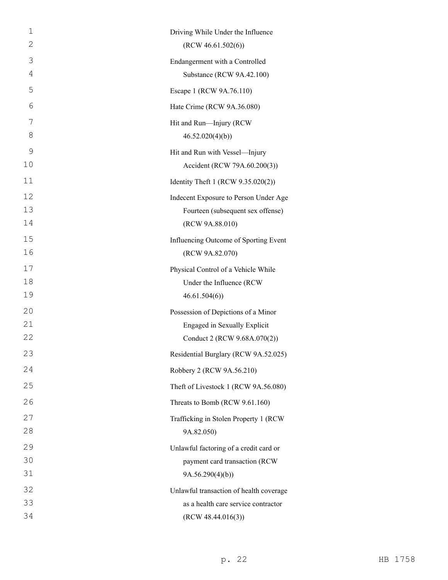| $\mathbf 1$ | Driving While Under the Influence       |
|-------------|-----------------------------------------|
| 2           | (RCW 46.61.502(6))                      |
| 3           | Endangerment with a Controlled          |
| 4           | Substance (RCW 9A.42.100)               |
| 5           | Escape 1 (RCW 9A.76.110)                |
| 6           | Hate Crime (RCW 9A.36.080)              |
| 7           | Hit and Run-Injury (RCW                 |
| 8           | 46.52.020(4)(b)                         |
| 9           | Hit and Run with Vessel-Injury          |
| 10          | Accident (RCW 79A.60.200(3))            |
| 11          | Identity Theft 1 (RCW 9.35.020(2))      |
| 12          | Indecent Exposure to Person Under Age   |
| 13          | Fourteen (subsequent sex offense)       |
| 14          | (RCW 9A.88.010)                         |
| 15          | Influencing Outcome of Sporting Event   |
| 16          | (RCW 9A.82.070)                         |
| 17          | Physical Control of a Vehicle While     |
| 18          | Under the Influence (RCW                |
| 19          | 46.61.504(6)                            |
| 20          | Possession of Depictions of a Minor     |
| 21          | Engaged in Sexually Explicit            |
| 22          | Conduct 2 (RCW 9.68A.070(2))            |
| 23          | Residential Burglary (RCW 9A.52.025)    |
| 24          | Robbery 2 (RCW 9A.56.210)               |
| 25          | Theft of Livestock 1 (RCW 9A.56.080)    |
| 26          | Threats to Bomb (RCW 9.61.160)          |
| 27          | Trafficking in Stolen Property 1 (RCW   |
| 28          | 9A.82.050)                              |
| 29          | Unlawful factoring of a credit card or  |
| 30          | payment card transaction (RCW           |
| 31          | 9A.56.290(4)(b)                         |
| 32          | Unlawful transaction of health coverage |
| 33          | as a health care service contractor     |
| 34          | (RCW 48.44.016(3))                      |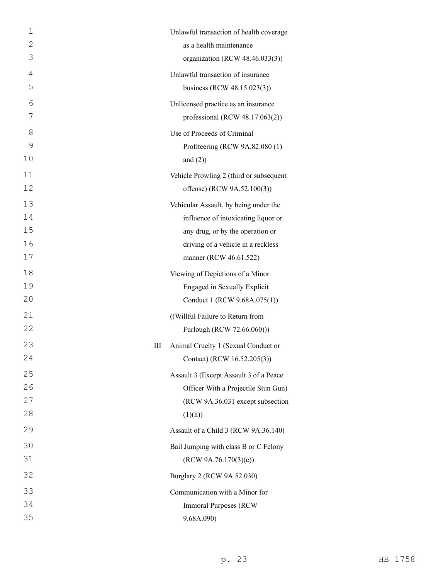| $\mathbf 1$ | Unlawful transaction of health coverage  |
|-------------|------------------------------------------|
| 2           | as a health maintenance                  |
| 3           | organization (RCW 48.46.033(3))          |
| 4           | Unlawful transaction of insurance        |
| 5           | business (RCW 48.15.023(3))              |
| 6           | Unlicensed practice as an insurance      |
| 7           | professional (RCW $48.17.063(2)$ )       |
| 8           | Use of Proceeds of Criminal              |
| 9           | Profiteering (RCW 9A.82.080 (1)          |
| 10          | and $(2)$ )                              |
| 11          | Vehicle Prowling 2 (third or subsequent  |
| 12          | offense) (RCW 9A.52.100(3))              |
| 13          | Vehicular Assault, by being under the    |
| 14          | influence of intoxicating liquor or      |
| 15          | any drug, or by the operation or         |
| 16          | driving of a vehicle in a reckless       |
| 17          | manner (RCW 46.61.522)                   |
| 18          | Viewing of Depictions of a Minor         |
| 19          | Engaged in Sexually Explicit             |
| 20          | Conduct 1 (RCW 9.68A.075(1))             |
| 21          | ((Willful Failure to Return from         |
| 22          | Furlough (RCW 72.66.060)))               |
| 23          | Ш<br>Animal Cruelty 1 (Sexual Conduct or |
| 24          | Contact) (RCW 16.52.205(3))              |
| 25          | Assault 3 (Except Assault 3 of a Peace   |
| 26          | Officer With a Projectile Stun Gun)      |
| 27          | (RCW 9A.36.031 except subsection         |
| 28          | (1)(h))                                  |
| 29          | Assault of a Child 3 (RCW 9A.36.140)     |
| 30          | Bail Jumping with class B or C Felony    |
| 31          | (RCW 9A.76.170(3)(c))                    |
| 32          | Burglary 2 (RCW 9A.52.030)               |
| 33          | Communication with a Minor for           |
| 34          | <b>Immoral Purposes (RCW)</b>            |
| 35          | 9.68A.090)                               |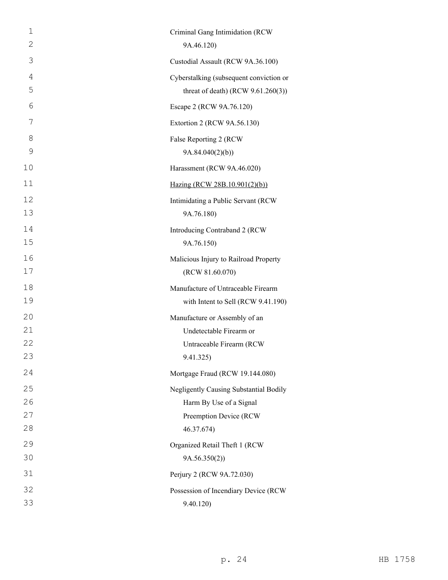| 1  | Criminal Gang Intimidation (RCW         |
|----|-----------------------------------------|
| 2  | 9A.46.120)                              |
| 3  | Custodial Assault (RCW 9A.36.100)       |
| 4  | Cyberstalking (subsequent conviction or |
| 5  | threat of death) (RCW $9.61.260(3)$ )   |
| 6  | Escape 2 (RCW 9A.76.120)                |
| 7  | Extortion 2 (RCW 9A.56.130)             |
| 8  | False Reporting 2 (RCW                  |
| 9  | 9A.84.040(2)(b)                         |
| 10 | Harassment (RCW 9A.46.020)              |
| 11 | Hazing (RCW 28B.10.901(2)(b))           |
| 12 | Intimidating a Public Servant (RCW      |
| 13 | 9A.76.180)                              |
| 14 | Introducing Contraband 2 (RCW           |
| 15 | 9A.76.150)                              |
| 16 | Malicious Injury to Railroad Property   |
| 17 | (RCW 81.60.070)                         |
| 18 | Manufacture of Untraceable Firearm      |
| 19 | with Intent to Sell (RCW 9.41.190)      |
| 20 | Manufacture or Assembly of an           |
| 21 | Undetectable Firearm or                 |
| 22 | Untraceable Firearm (RCW                |
| 23 | 9.41.325)                               |
| 24 | Mortgage Fraud (RCW 19.144.080)         |
| 25 | Negligently Causing Substantial Bodily  |
| 26 | Harm By Use of a Signal                 |
| 27 | Preemption Device (RCW                  |
| 28 | 46.37.674)                              |
| 29 | Organized Retail Theft 1 (RCW           |
| 30 | 9A.56.350(2)                            |
| 31 | Perjury 2 (RCW 9A.72.030)               |
| 32 | Possession of Incendiary Device (RCW    |
| 33 | 9.40.120)                               |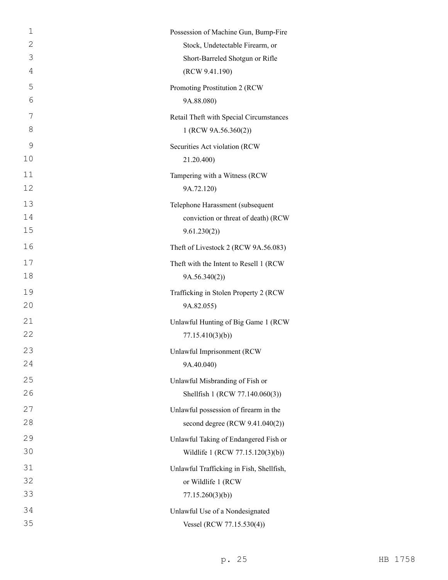| $\mathbf 1$ | Possession of Machine Gun, Bump-Fire     |
|-------------|------------------------------------------|
| 2           | Stock, Undetectable Firearm, or          |
| 3           | Short-Barreled Shotgun or Rifle          |
| 4           | (RCW 9.41.190)                           |
| 5           | Promoting Prostitution 2 (RCW)           |
| 6           | 9A.88.080)                               |
| 7           | Retail Theft with Special Circumstances  |
| 8           | 1 (RCW 9A.56.360(2))                     |
| 9           | Securities Act violation (RCW            |
| 10          | 21.20.400)                               |
| 11          | Tampering with a Witness (RCW            |
| 12          | 9A.72.120)                               |
| 13          | Telephone Harassment (subsequent         |
| 14          | conviction or threat of death) (RCW      |
| 15          | 9.61.230(2)                              |
| 16          | Theft of Livestock 2 (RCW 9A.56.083)     |
| 17          | Theft with the Intent to Resell 1 (RCW   |
| 18          | 9A.56.340(2)                             |
| 19          | Trafficking in Stolen Property 2 (RCW    |
| 20          | 9A.82.055)                               |
| 21          | Unlawful Hunting of Big Game 1 (RCW      |
| 22          | 77.15.410(3)(b)                          |
| 23          | Unlawful Imprisonment (RCW)              |
| 24          | 9A.40.040)                               |
| 25          | Unlawful Misbranding of Fish or          |
| 26          | Shellfish 1 (RCW 77.140.060(3))          |
| 27          | Unlawful possession of firearm in the    |
| 28          | second degree (RCW 9.41.040(2))          |
| 29          | Unlawful Taking of Endangered Fish or    |
| 30          | Wildlife 1 (RCW 77.15.120(3)(b))         |
| 31          | Unlawful Trafficking in Fish, Shellfish, |
| 32          | or Wildlife 1 (RCW                       |
| 33          | 77.15.260(3)(b)                          |
| 34          | Unlawful Use of a Nondesignated          |
| 35          | Vessel (RCW 77.15.530(4))                |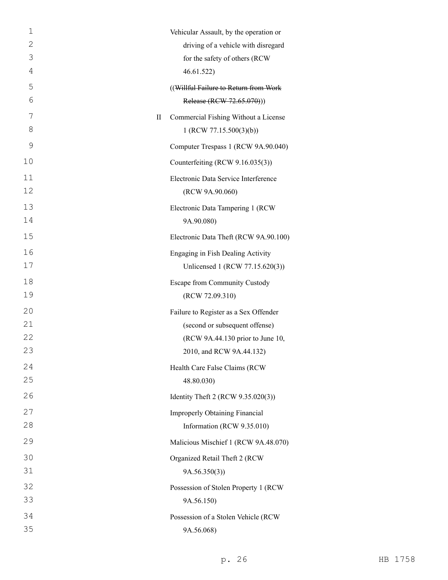| $\mathbf 1$   | Vehicular Assault, by the operation or |
|---------------|----------------------------------------|
| $\mathbf{2}$  | driving of a vehicle with disregard    |
| 3             | for the safety of others (RCW          |
| 4             | 46.61.522)                             |
| 5             | ((Willful Failure to Return from Work  |
| 6             | Release (RCW 72.65.070)))              |
| 7<br>$\rm II$ | Commercial Fishing Without a License   |
| 8             | 1 (RCW 77.15.500(3)(b))                |
| 9             | Computer Trespass 1 (RCW 9A.90.040)    |
| 10            | Counterfeiting (RCW 9.16.035(3))       |
| 11            | Electronic Data Service Interference   |
| 12            | (RCW 9A.90.060)                        |
| 13            | Electronic Data Tampering 1 (RCW)      |
| 14            | 9A.90.080)                             |
| 15            | Electronic Data Theft (RCW 9A.90.100)  |
| 16            | Engaging in Fish Dealing Activity      |
| 17            | Unlicensed 1 (RCW 77.15.620(3))        |
| 18            | Escape from Community Custody          |
| 19            | (RCW 72.09.310)                        |
| 20            | Failure to Register as a Sex Offender  |
| 21            | (second or subsequent offense)         |
| 22            | (RCW 9A.44.130 prior to June 10,       |
| 23            | 2010, and RCW 9A.44.132)               |
| 24            | Health Care False Claims (RCW          |
| 25            | 48.80.030)                             |
| 26            | Identity Theft 2 (RCW 9.35.020(3))     |
| 27            | <b>Improperly Obtaining Financial</b>  |
| 28            | Information (RCW 9.35.010)             |
| 29            | Malicious Mischief 1 (RCW 9A.48.070)   |
| 30            | Organized Retail Theft 2 (RCW          |
| 31            | 9A.56.350(3)                           |
| 32            | Possession of Stolen Property 1 (RCW   |
| 33            | 9A.56.150)                             |
| 34            | Possession of a Stolen Vehicle (RCW    |
| 35            | 9A.56.068)                             |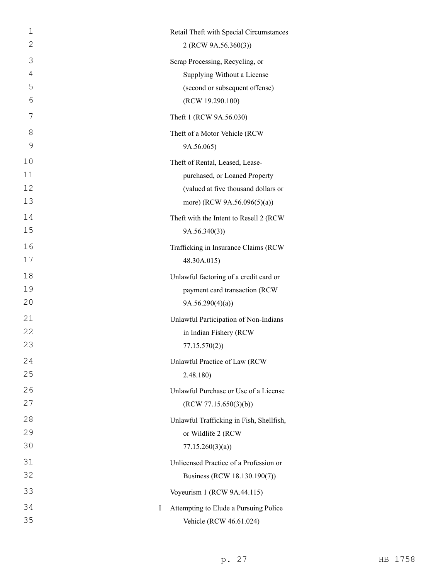| 1  | Retail Theft with Special Circumstances    |
|----|--------------------------------------------|
| 2  | 2 (RCW 9A.56.360(3))                       |
| 3  | Scrap Processing, Recycling, or            |
| 4  | Supplying Without a License                |
| 5  | (second or subsequent offense)             |
| 6  | (RCW 19.290.100)                           |
| 7  | Theft 1 (RCW 9A.56.030)                    |
| 8  | Theft of a Motor Vehicle (RCW              |
| 9  | 9A.56.065)                                 |
| 10 | Theft of Rental, Leased, Lease-            |
| 11 | purchased, or Loaned Property              |
| 12 | (valued at five thousand dollars or        |
| 13 | more) (RCW 9A.56.096(5)(a))                |
| 14 | Theft with the Intent to Resell 2 (RCW)    |
| 15 | 9A.56.340(3)                               |
| 16 | Trafficking in Insurance Claims (RCW       |
| 17 | 48.30A.015)                                |
| 18 | Unlawful factoring of a credit card or     |
| 19 | payment card transaction (RCW              |
| 20 | 9A.56.290(4)(a)                            |
| 21 | Unlawful Participation of Non-Indians      |
| 22 | in Indian Fishery (RCW                     |
| 23 | 77.15.570(2)                               |
| 24 | Unlawful Practice of Law (RCW              |
| 25 | 2.48.180)                                  |
| 26 | Unlawful Purchase or Use of a License      |
| 27 | (RCW 77.15.650(3)(b))                      |
| 28 | Unlawful Trafficking in Fish, Shellfish,   |
| 29 | or Wildlife 2 (RCW                         |
| 30 | 77.15.260(3)(a)                            |
| 31 | Unlicensed Practice of a Profession or     |
| 32 | Business (RCW 18.130.190(7))               |
| 33 | Voyeurism 1 (RCW 9A.44.115)                |
| 34 | Attempting to Elude a Pursuing Police<br>I |
| 35 | Vehicle (RCW 46.61.024)                    |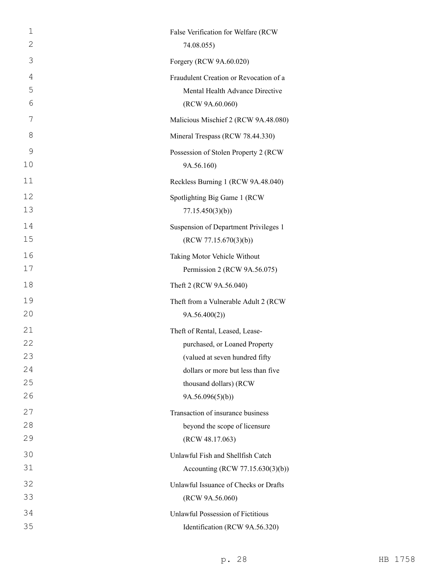| $\mathbf 1$ | False Verification for Welfare (RCW    |
|-------------|----------------------------------------|
| 2           | 74.08.055)                             |
| 3           | Forgery (RCW 9A.60.020)                |
| 4           | Fraudulent Creation or Revocation of a |
| 5           | Mental Health Advance Directive        |
| 6           | (RCW 9A.60.060)                        |
| 7           | Malicious Mischief 2 (RCW 9A.48.080)   |
| 8           | Mineral Trespass (RCW 78.44.330)       |
| 9           | Possession of Stolen Property 2 (RCW   |
| 10          | 9A.56.160)                             |
| 11          | Reckless Burning 1 (RCW 9A.48.040)     |
| 12          | Spotlighting Big Game 1 (RCW           |
| 13          | 77.15.450(3)(b)                        |
| 14          | Suspension of Department Privileges 1  |
| 15          | (RCW 77.15.670(3)(b))                  |
| 16          | Taking Motor Vehicle Without           |
| 17          | Permission 2 (RCW 9A.56.075)           |
| 18          | Theft 2 (RCW 9A.56.040)                |
| 19          | Theft from a Vulnerable Adult 2 (RCW   |
| 20          | 9A.56.400(2))                          |
| 21          | Theft of Rental, Leased, Lease-        |
| 22          | purchased, or Loaned Property          |
| 23          | (valued at seven hundred fifty         |
| 24          | dollars or more but less than five     |
| 25          | thousand dollars) (RCW                 |
| 26          | 9A.56.096(5)(b))                       |
| 27          | Transaction of insurance business      |
| 28          | beyond the scope of licensure          |
| 29          | (RCW 48.17.063)                        |
| 30          | Unlawful Fish and Shellfish Catch      |
| 31          | Accounting (RCW 77.15.630(3)(b))       |
| 32          | Unlawful Issuance of Checks or Drafts  |
| 33          | (RCW 9A.56.060)                        |
| 34          | Unlawful Possession of Fictitious      |
| 35          | Identification (RCW 9A.56.320)         |